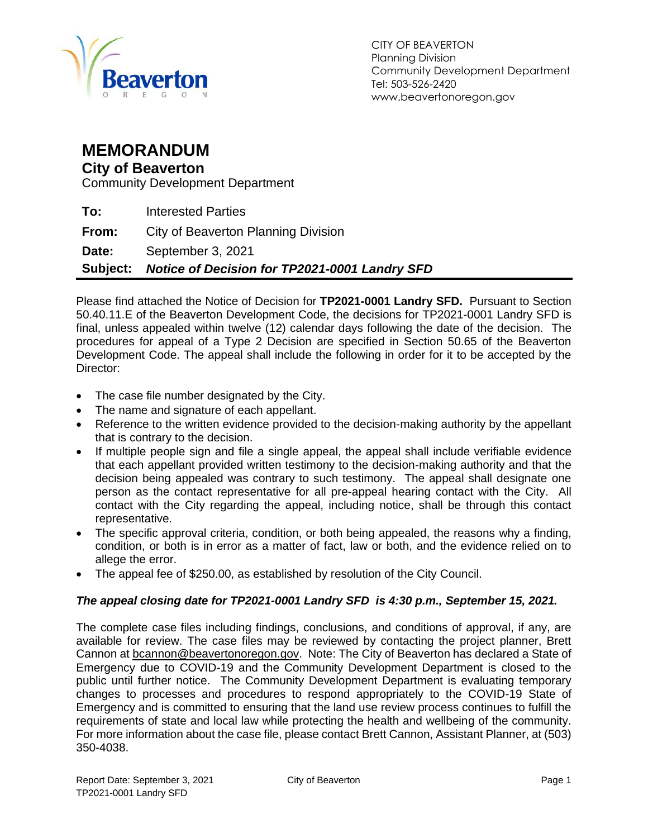

### **MEMORANDUM**

#### **City of Beaverton**

Community Development Department

|       | Subject: Notice of Decision for TP2021-0001 Landry SFD |
|-------|--------------------------------------------------------|
| Date: | September 3, 2021                                      |
| From: | City of Beaverton Planning Division                    |
| To:   | <b>Interested Parties</b>                              |

Please find attached the Notice of Decision for **TP2021-0001 Landry SFD.** Pursuant to Section 50.40.11.E of the Beaverton Development Code, the decisions for TP2021-0001 Landry SFD is final, unless appealed within twelve (12) calendar days following the date of the decision. The procedures for appeal of a Type 2 Decision are specified in Section 50.65 of the Beaverton Development Code. The appeal shall include the following in order for it to be accepted by the Director:

- The case file number designated by the City.
- The name and signature of each appellant.
- Reference to the written evidence provided to the decision-making authority by the appellant that is contrary to the decision.
- If multiple people sign and file a single appeal, the appeal shall include verifiable evidence that each appellant provided written testimony to the decision-making authority and that the decision being appealed was contrary to such testimony. The appeal shall designate one person as the contact representative for all pre-appeal hearing contact with the City. All contact with the City regarding the appeal, including notice, shall be through this contact representative.
- The specific approval criteria, condition, or both being appealed, the reasons why a finding, condition, or both is in error as a matter of fact, law or both, and the evidence relied on to allege the error.
- The appeal fee of \$250.00, as established by resolution of the City Council.

#### *The appeal closing date for TP2021-0001 Landry SFD is 4:30 p.m., September 15, 2021.*

The complete case files including findings, conclusions, and conditions of approval, if any, are available for review. The case files may be reviewed by contacting the project planner, Brett Cannon at [bcannon@beavertonoregon.gov.](mailto:bcannon@beavertonoregon.gov) Note: The City of Beaverton has declared a State of Emergency due to COVID-19 and the Community Development Department is closed to the public until further notice. The Community Development Department is evaluating temporary changes to processes and procedures to respond appropriately to the COVID-19 State of Emergency and is committed to ensuring that the land use review process continues to fulfill the requirements of state and local law while protecting the health and wellbeing of the community. For more information about the case file, please contact Brett Cannon, Assistant Planner, at (503) 350-4038.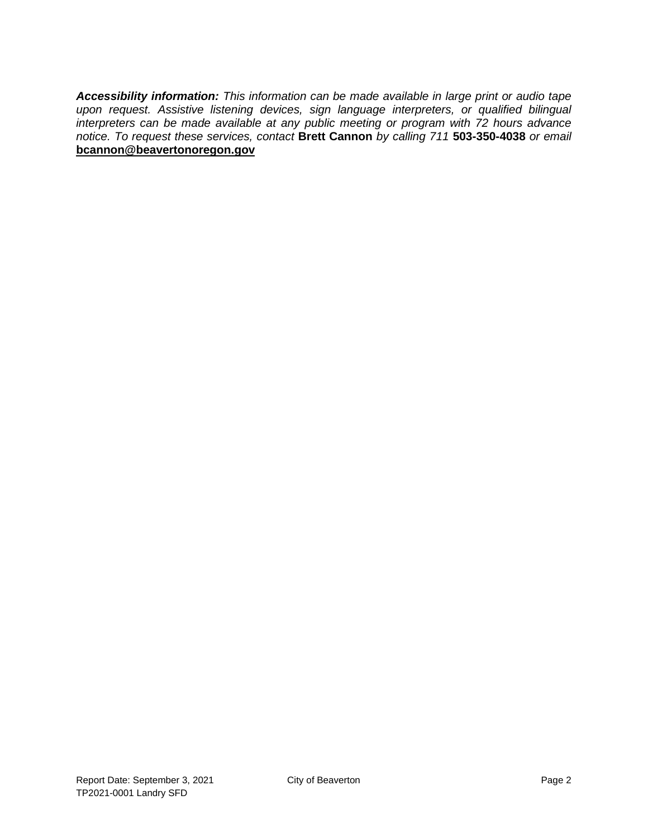*Accessibility information: This information can be made available in large print or audio tape upon request. Assistive listening devices, sign language interpreters, or qualified bilingual interpreters can be made available at any public meeting or program with 72 hours advance notice. To request these services, contact* **Brett Cannon** *by calling 711* **503-350-4038** *or email* **[bcannon@beavertonoregon.gov](mailto:bcannon@beavertonoregon.gov)**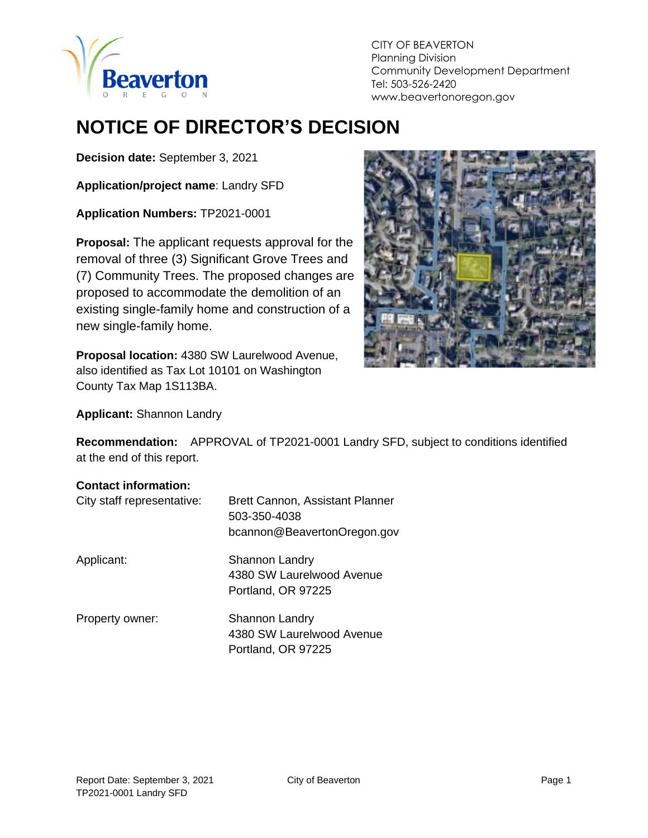

CITY OF BEAVERTON Planning Division Community Development Department Tel: 503-526-2420 www.beavertonoregon.gov

# **NOTICE OF DIRECTOR'S DECISION**

**Decision date:** September 3, 2021

**Application/project name**: Landry SFD

**Application Numbers:** TP2021-0001

**Proposal:** The applicant requests approval for the removal of three (3) Significant Grove Trees and (7) Community Trees. The proposed changes are proposed to accommodate the demolition of an existing single-family home and construction of a new single-family home.

**Proposal location:** 4380 SW Laurelwood Avenue, also identified as Tax Lot 10101 on Washington County Tax Map 1S113BA.



**Applicant:** Shannon Landry

**Recommendation:** APPROVAL of TP2021-0001 Landry SFD, subject to conditions identified at the end of this report.

#### **Contact information:**

| City staff representative: | Brett Cannon, Assistant Planner<br>503-350-4038<br>bcannon@BeavertonOregon.gov |
|----------------------------|--------------------------------------------------------------------------------|
| Applicant:                 | <b>Shannon Landry</b><br>4380 SW Laurelwood Avenue<br>Portland, OR 97225       |
| Property owner:            | Shannon Landry<br>4380 SW Laurelwood Avenue<br>Portland, OR 97225              |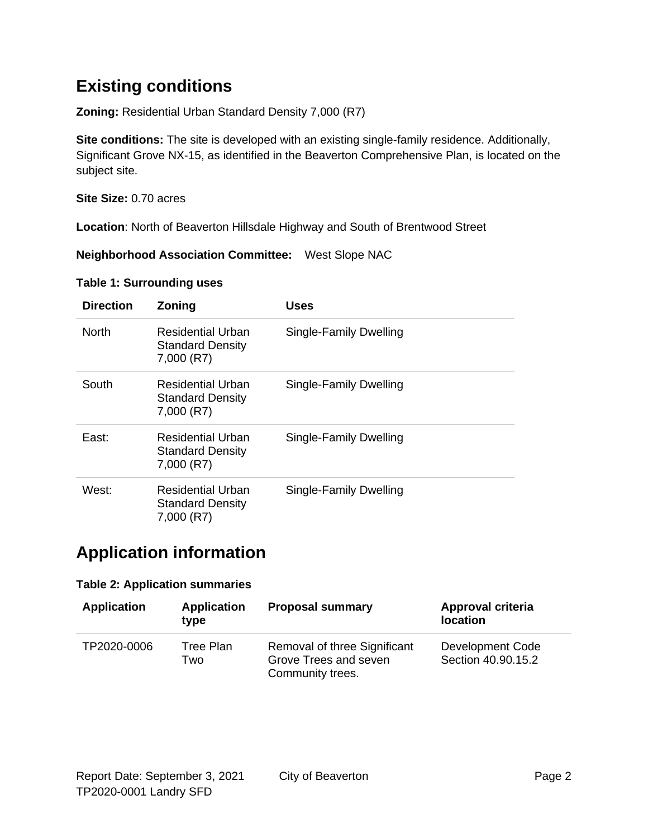## **Existing conditions**

**Zoning:** Residential Urban Standard Density 7,000 (R7)

**Site conditions:** The site is developed with an existing single-family residence. Additionally, Significant Grove NX-15, as identified in the Beaverton Comprehensive Plan, is located on the subject site.

**Site Size:** 0.70 acres

**Location**: North of Beaverton Hillsdale Highway and South of Brentwood Street

**Neighborhood Association Committee:** West Slope NAC

| <b>Direction</b> | <b>Zoning</b>                                                     | <b>Uses</b>            |
|------------------|-------------------------------------------------------------------|------------------------|
| <b>North</b>     | Residential Urban<br><b>Standard Density</b><br>7,000 (R7)        | Single-Family Dwelling |
| South            | Residential Urban<br><b>Standard Density</b><br>7,000 (R7)        | Single-Family Dwelling |
| East:            | Residential Urban<br><b>Standard Density</b><br>7,000 (R7)        | Single-Family Dwelling |
| West:            | <b>Residential Urban</b><br><b>Standard Density</b><br>7,000 (R7) | Single-Family Dwelling |

### **Application information**

#### **Table 2: Application summaries**

| <b>Application</b> | <b>Application</b><br>type | <b>Proposal summary</b>                                                   | Approval criteria<br><b>location</b>   |
|--------------------|----------------------------|---------------------------------------------------------------------------|----------------------------------------|
| TP2020-0006        | Tree Plan<br>Two           | Removal of three Significant<br>Grove Trees and seven<br>Community trees. | Development Code<br>Section 40.90.15.2 |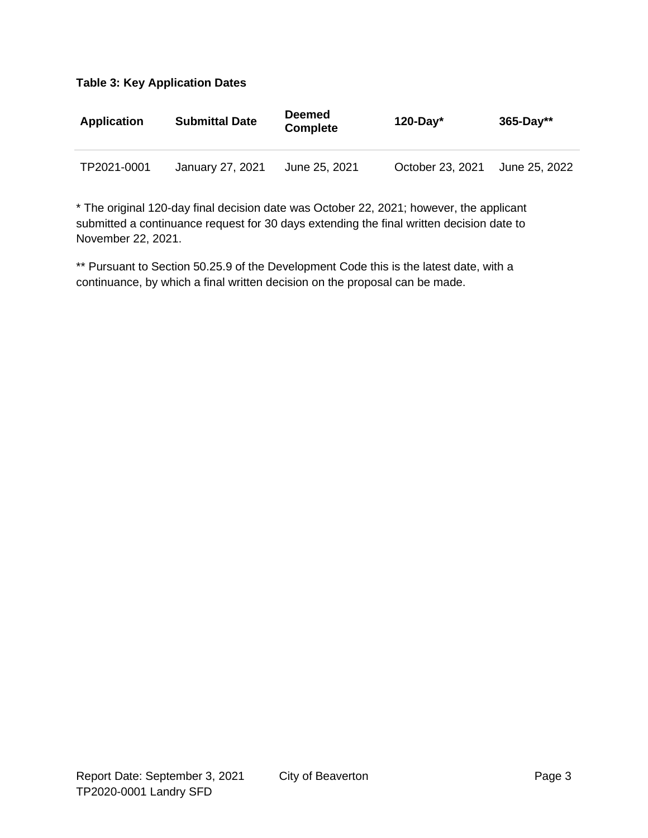| <b>Application</b> | <b>Submittal Date</b> | <b>Deemed</b><br><b>Complete</b> | 120-Day $*$      | $365 - Day**$ |
|--------------------|-----------------------|----------------------------------|------------------|---------------|
| TP2021-0001        | January 27, 2021      | June 25, 2021                    | October 23, 2021 | June 25, 2022 |

\* The original 120-day final decision date was October 22, 2021; however, the applicant submitted a continuance request for 30 days extending the final written decision date to November 22, 2021.

\*\* Pursuant to Section 50.25.9 of the Development Code this is the latest date, with a continuance, by which a final written decision on the proposal can be made.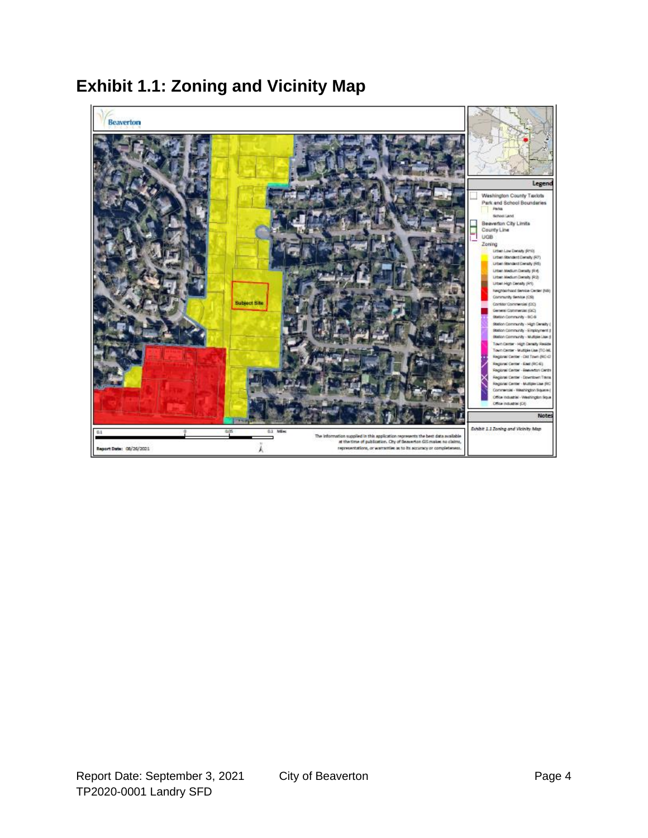

### **Exhibit 1.1: Zoning and Vicinity Map**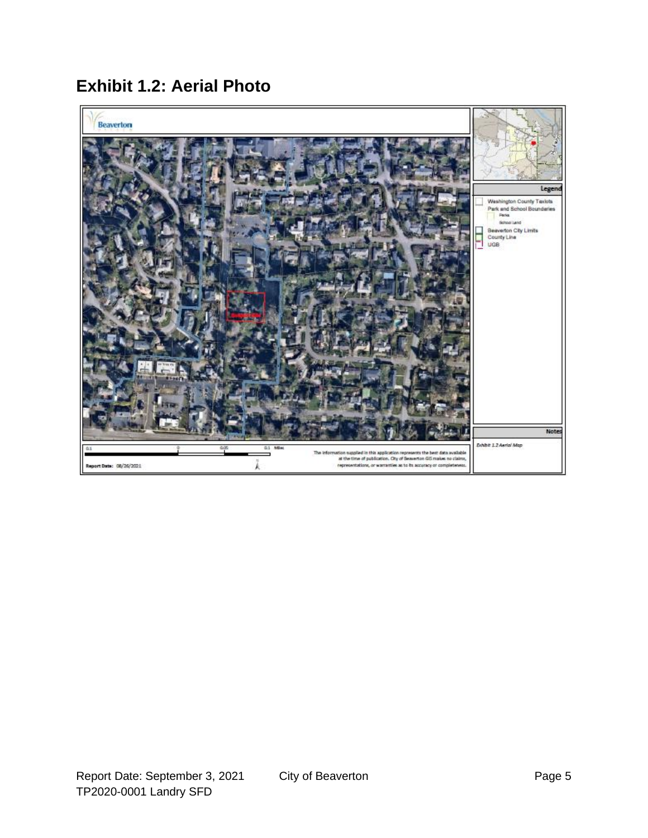**Exhibit 1.2: Aerial Photo**

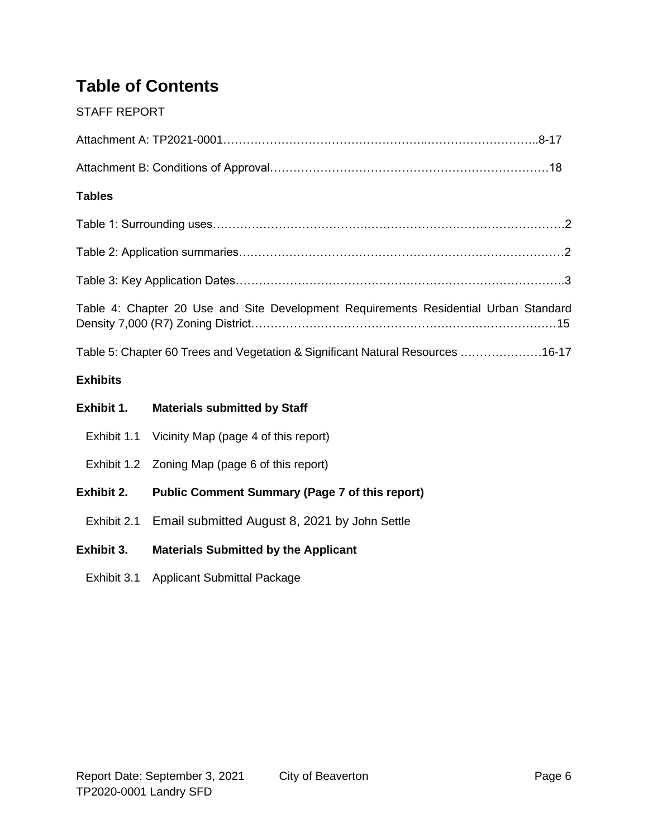## **Table of Contents**

#### STAFF REPORT

| <b>Tables</b>   |                                                                                      |  |  |  |
|-----------------|--------------------------------------------------------------------------------------|--|--|--|
|                 |                                                                                      |  |  |  |
|                 |                                                                                      |  |  |  |
|                 |                                                                                      |  |  |  |
|                 | Table 4: Chapter 20 Use and Site Development Requirements Residential Urban Standard |  |  |  |
|                 | Table 5: Chapter 60 Trees and Vegetation & Significant Natural Resources 16-17       |  |  |  |
| <b>Exhibits</b> |                                                                                      |  |  |  |
| Exhibit 1.      | <b>Materials submitted by Staff</b>                                                  |  |  |  |
| Exhibit 1.1     | Vicinity Map (page 4 of this report)                                                 |  |  |  |
|                 | Exhibit 1.2 Zoning Map (page 6 of this report)                                       |  |  |  |
| Exhibit 2.      | <b>Public Comment Summary (Page 7 of this report)</b>                                |  |  |  |
| Exhibit 2.1     | Email submitted August 8, 2021 by John Settle                                        |  |  |  |

#### **Exhibit 3. Materials Submitted by the Applicant**

Exhibit 3.1 Applicant Submittal Package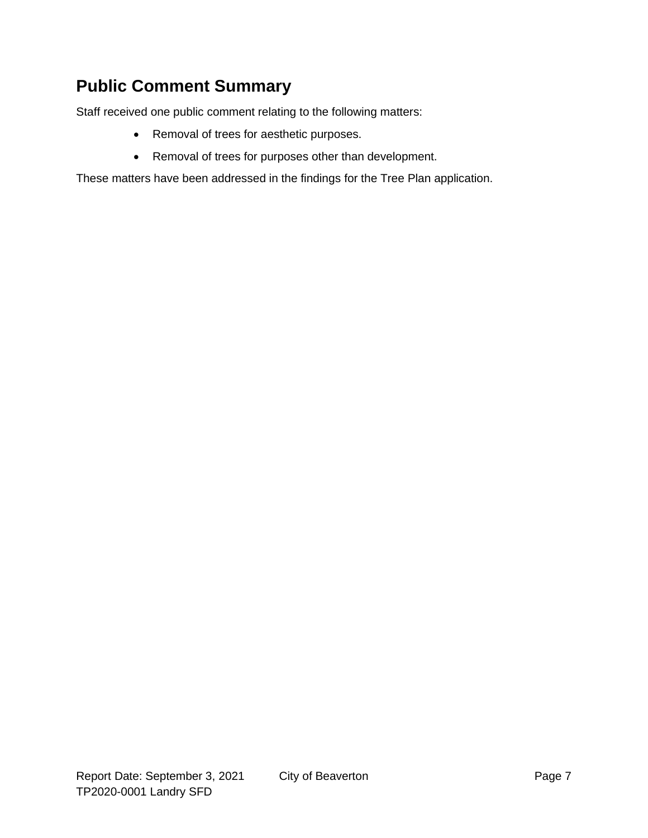### **Public Comment Summary**

Staff received one public comment relating to the following matters:

- Removal of trees for aesthetic purposes.
- Removal of trees for purposes other than development.

These matters have been addressed in the findings for the Tree Plan application.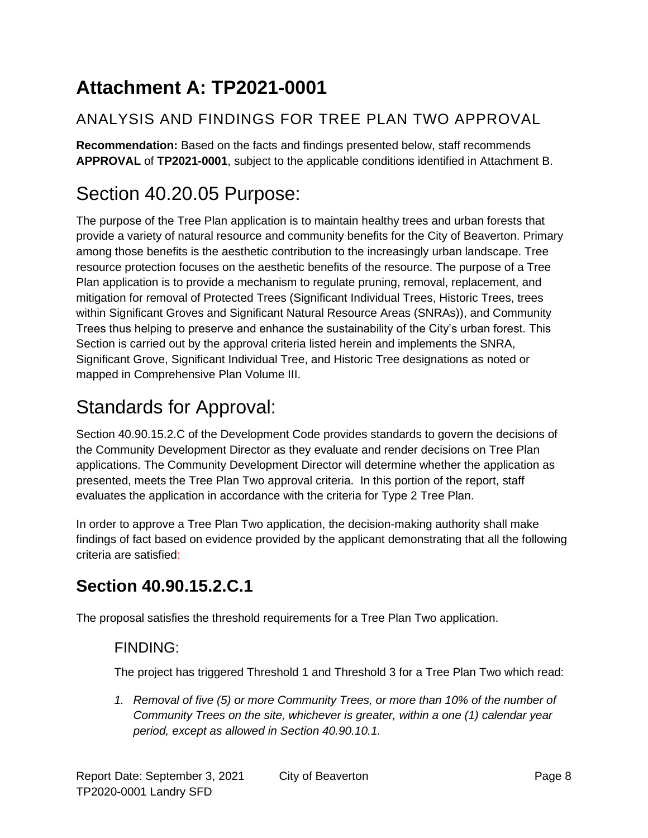# **Attachment A: TP2021-0001**

### ANALYSIS AND FINDINGS FOR TREE PLAN TWO APPROVAL

**Recommendation:** Based on the facts and findings presented below, staff recommends **APPROVAL** of **TP2021-0001**, subject to the applicable conditions identified in Attachment B.

# Section 40.20.05 Purpose:

The purpose of the Tree Plan application is to maintain healthy trees and urban forests that provide a variety of natural resource and community benefits for the City of Beaverton. Primary among those benefits is the aesthetic contribution to the increasingly urban landscape. Tree resource protection focuses on the aesthetic benefits of the resource. The purpose of a Tree Plan application is to provide a mechanism to regulate pruning, removal, replacement, and mitigation for removal of Protected Trees (Significant Individual Trees, Historic Trees, trees within Significant Groves and Significant Natural Resource Areas (SNRAs)), and Community Trees thus helping to preserve and enhance the sustainability of the City's urban forest. This Section is carried out by the approval criteria listed herein and implements the SNRA, Significant Grove, Significant Individual Tree, and Historic Tree designations as noted or mapped in Comprehensive Plan Volume III.

# Standards for Approval:

Section 40.90.15.2.C of the Development Code provides standards to govern the decisions of the Community Development Director as they evaluate and render decisions on Tree Plan applications. The Community Development Director will determine whether the application as presented, meets the Tree Plan Two approval criteria. In this portion of the report, staff evaluates the application in accordance with the criteria for Type 2 Tree Plan.

In order to approve a Tree Plan Two application, the decision-making authority shall make findings of fact based on evidence provided by the applicant demonstrating that all the following criteria are satisfied:

## **Section 40.90.15.2.C.1**

The proposal satisfies the threshold requirements for a Tree Plan Two application.

#### FINDING:

The project has triggered Threshold 1 and Threshold 3 for a Tree Plan Two which read:

*1. Removal of five (5) or more Community Trees, or more than 10% of the number of Community Trees on the site, whichever is greater, within a one (1) calendar year period, except as allowed in Section 40.90.10.1.*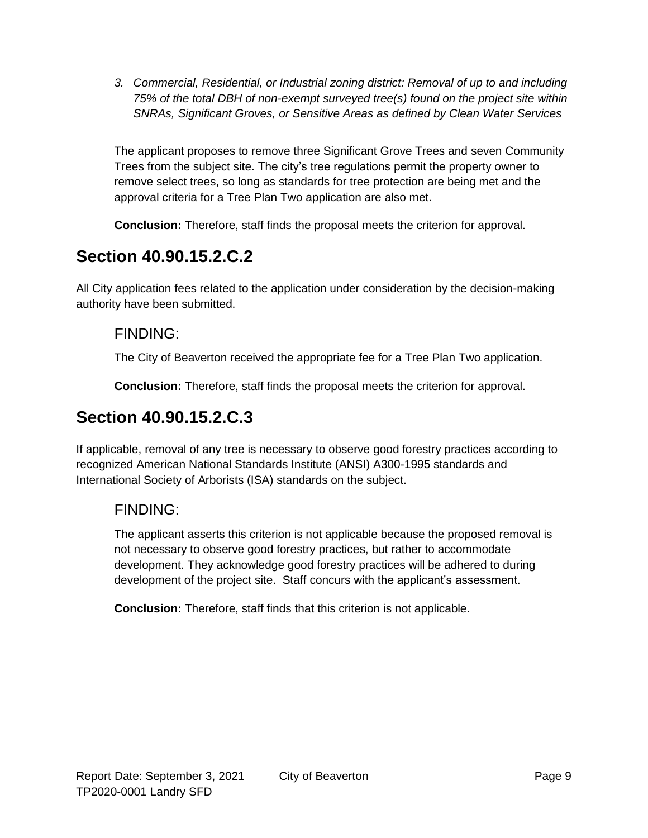*3. Commercial, Residential, or Industrial zoning district: Removal of up to and including 75% of the total DBH of non-exempt surveyed tree(s) found on the project site within SNRAs, Significant Groves, or Sensitive Areas as defined by Clean Water Services*

The applicant proposes to remove three Significant Grove Trees and seven Community Trees from the subject site. The city's tree regulations permit the property owner to remove select trees, so long as standards for tree protection are being met and the approval criteria for a Tree Plan Two application are also met.

**Conclusion:** Therefore, staff finds the proposal meets the criterion for approval.

### **Section 40.90.15.2.C.2**

All City application fees related to the application under consideration by the decision-making authority have been submitted.

#### FINDING:

The City of Beaverton received the appropriate fee for a Tree Plan Two application.

**Conclusion:** Therefore, staff finds the proposal meets the criterion for approval.

## **Section 40.90.15.2.C.3**

If applicable, removal of any tree is necessary to observe good forestry practices according to recognized American National Standards Institute (ANSI) A300-1995 standards and International Society of Arborists (ISA) standards on the subject.

### FINDING:

The applicant asserts this criterion is not applicable because the proposed removal is not necessary to observe good forestry practices, but rather to accommodate development. They acknowledge good forestry practices will be adhered to during development of the project site. Staff concurs with the applicant's assessment.

**Conclusion:** Therefore, staff finds that this criterion is not applicable.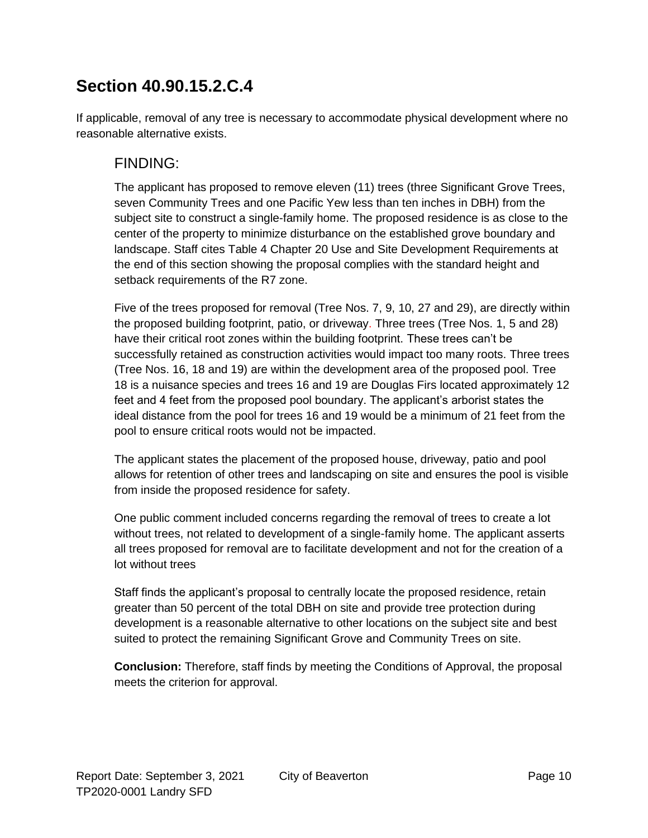If applicable, removal of any tree is necessary to accommodate physical development where no reasonable alternative exists.

### FINDING:

The applicant has proposed to remove eleven (11) trees (three Significant Grove Trees, seven Community Trees and one Pacific Yew less than ten inches in DBH) from the subject site to construct a single-family home. The proposed residence is as close to the center of the property to minimize disturbance on the established grove boundary and landscape. Staff cites Table 4 Chapter 20 Use and Site Development Requirements at the end of this section showing the proposal complies with the standard height and setback requirements of the R7 zone.

Five of the trees proposed for removal (Tree Nos. 7, 9, 10, 27 and 29), are directly within the proposed building footprint, patio, or driveway. Three trees (Tree Nos. 1, 5 and 28) have their critical root zones within the building footprint. These trees can't be successfully retained as construction activities would impact too many roots. Three trees (Tree Nos. 16, 18 and 19) are within the development area of the proposed pool. Tree 18 is a nuisance species and trees 16 and 19 are Douglas Firs located approximately 12 feet and 4 feet from the proposed pool boundary. The applicant's arborist states the ideal distance from the pool for trees 16 and 19 would be a minimum of 21 feet from the pool to ensure critical roots would not be impacted.

The applicant states the placement of the proposed house, driveway, patio and pool allows for retention of other trees and landscaping on site and ensures the pool is visible from inside the proposed residence for safety.

One public comment included concerns regarding the removal of trees to create a lot without trees, not related to development of a single-family home. The applicant asserts all trees proposed for removal are to facilitate development and not for the creation of a lot without trees

Staff finds the applicant's proposal to centrally locate the proposed residence, retain greater than 50 percent of the total DBH on site and provide tree protection during development is a reasonable alternative to other locations on the subject site and best suited to protect the remaining Significant Grove and Community Trees on site.

**Conclusion:** Therefore, staff finds by meeting the Conditions of Approval, the proposal meets the criterion for approval.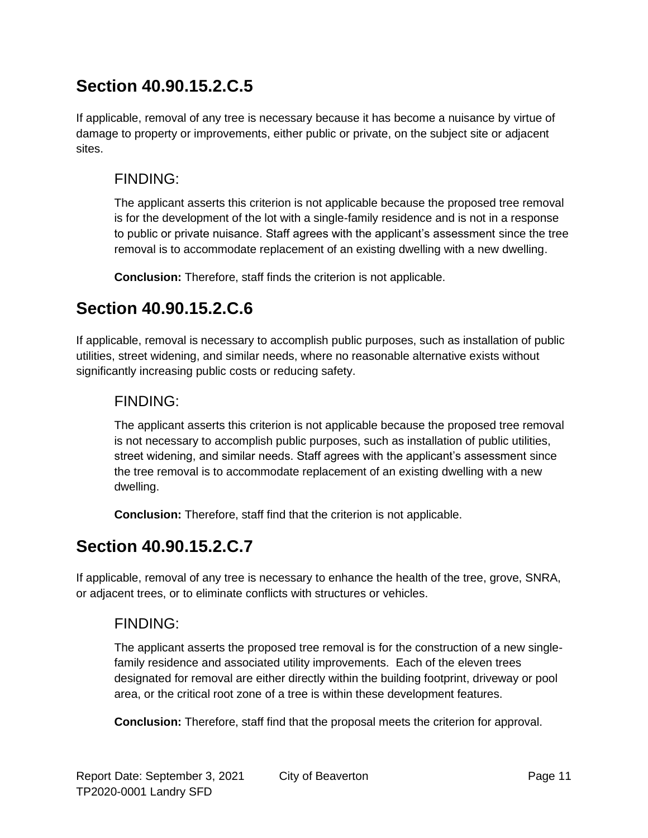If applicable, removal of any tree is necessary because it has become a nuisance by virtue of damage to property or improvements, either public or private, on the subject site or adjacent sites.

#### FINDING:

The applicant asserts this criterion is not applicable because the proposed tree removal is for the development of the lot with a single-family residence and is not in a response to public or private nuisance. Staff agrees with the applicant's assessment since the tree removal is to accommodate replacement of an existing dwelling with a new dwelling.

**Conclusion:** Therefore, staff finds the criterion is not applicable.

### **Section 40.90.15.2.C.6**

If applicable, removal is necessary to accomplish public purposes, such as installation of public utilities, street widening, and similar needs, where no reasonable alternative exists without significantly increasing public costs or reducing safety.

#### FINDING:

The applicant asserts this criterion is not applicable because the proposed tree removal is not necessary to accomplish public purposes, such as installation of public utilities, street widening, and similar needs. Staff agrees with the applicant's assessment since the tree removal is to accommodate replacement of an existing dwelling with a new dwelling.

**Conclusion:** Therefore, staff find that the criterion is not applicable.

## **Section 40.90.15.2.C.7**

If applicable, removal of any tree is necessary to enhance the health of the tree, grove, SNRA, or adjacent trees, or to eliminate conflicts with structures or vehicles.

### FINDING:

The applicant asserts the proposed tree removal is for the construction of a new singlefamily residence and associated utility improvements. Each of the eleven trees designated for removal are either directly within the building footprint, driveway or pool area, or the critical root zone of a tree is within these development features.

**Conclusion:** Therefore, staff find that the proposal meets the criterion for approval.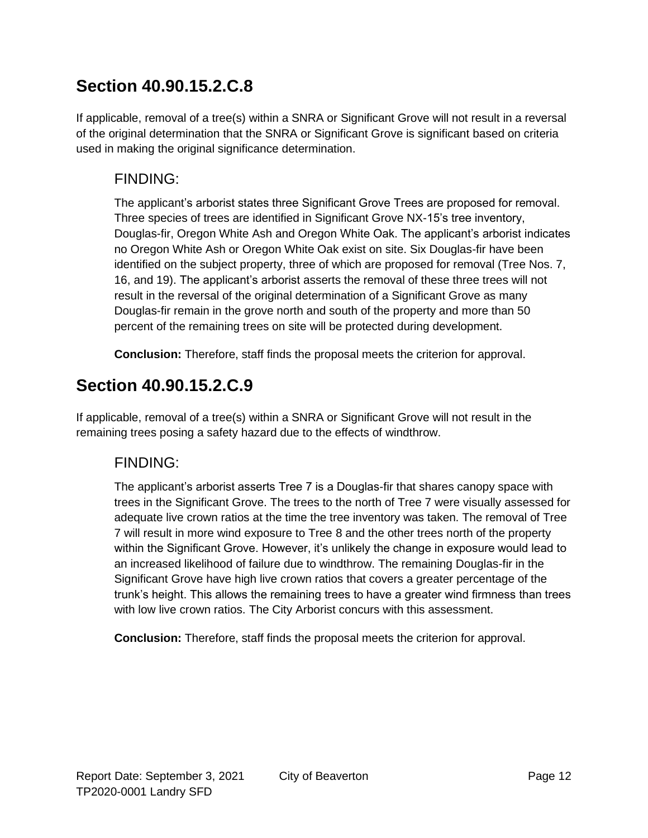If applicable, removal of a tree(s) within a SNRA or Significant Grove will not result in a reversal of the original determination that the SNRA or Significant Grove is significant based on criteria used in making the original significance determination.

### FINDING:

The applicant's arborist states three Significant Grove Trees are proposed for removal. Three species of trees are identified in Significant Grove NX-15's tree inventory, Douglas-fir, Oregon White Ash and Oregon White Oak. The applicant's arborist indicates no Oregon White Ash or Oregon White Oak exist on site. Six Douglas-fir have been identified on the subject property, three of which are proposed for removal (Tree Nos. 7, 16, and 19). The applicant's arborist asserts the removal of these three trees will not result in the reversal of the original determination of a Significant Grove as many Douglas-fir remain in the grove north and south of the property and more than 50 percent of the remaining trees on site will be protected during development.

**Conclusion:** Therefore, staff finds the proposal meets the criterion for approval.

### **Section 40.90.15.2.C.9**

If applicable, removal of a tree(s) within a SNRA or Significant Grove will not result in the remaining trees posing a safety hazard due to the effects of windthrow.

#### FINDING:

The applicant's arborist asserts Tree 7 is a Douglas-fir that shares canopy space with trees in the Significant Grove. The trees to the north of Tree 7 were visually assessed for adequate live crown ratios at the time the tree inventory was taken. The removal of Tree 7 will result in more wind exposure to Tree 8 and the other trees north of the property within the Significant Grove. However, it's unlikely the change in exposure would lead to an increased likelihood of failure due to windthrow. The remaining Douglas-fir in the Significant Grove have high live crown ratios that covers a greater percentage of the trunk's height. This allows the remaining trees to have a greater wind firmness than trees with low live crown ratios. The City Arborist concurs with this assessment.

**Conclusion:** Therefore, staff finds the proposal meets the criterion for approval.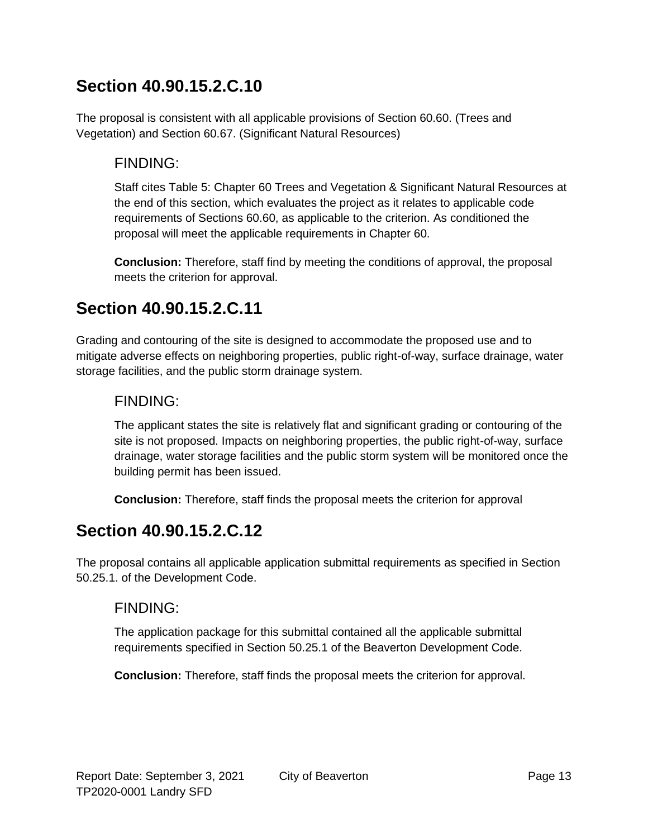The proposal is consistent with all applicable provisions of Section 60.60. (Trees and Vegetation) and Section 60.67. (Significant Natural Resources)

### FINDING:

Staff cites Table 5: Chapter 60 Trees and Vegetation & Significant Natural Resources at the end of this section, which evaluates the project as it relates to applicable code requirements of Sections 60.60, as applicable to the criterion. As conditioned the proposal will meet the applicable requirements in Chapter 60.

**Conclusion:** Therefore, staff find by meeting the conditions of approval, the proposal meets the criterion for approval.

### **Section 40.90.15.2.C.11**

Grading and contouring of the site is designed to accommodate the proposed use and to mitigate adverse effects on neighboring properties, public right-of-way, surface drainage, water storage facilities, and the public storm drainage system.

#### FINDING:

The applicant states the site is relatively flat and significant grading or contouring of the site is not proposed. Impacts on neighboring properties, the public right-of-way, surface drainage, water storage facilities and the public storm system will be monitored once the building permit has been issued.

**Conclusion:** Therefore, staff finds the proposal meets the criterion for approval

### **Section 40.90.15.2.C.12**

The proposal contains all applicable application submittal requirements as specified in Section 50.25.1. of the Development Code.

#### FINDING:

The application package for this submittal contained all the applicable submittal requirements specified in Section 50.25.1 of the Beaverton Development Code.

**Conclusion:** Therefore, staff finds the proposal meets the criterion for approval.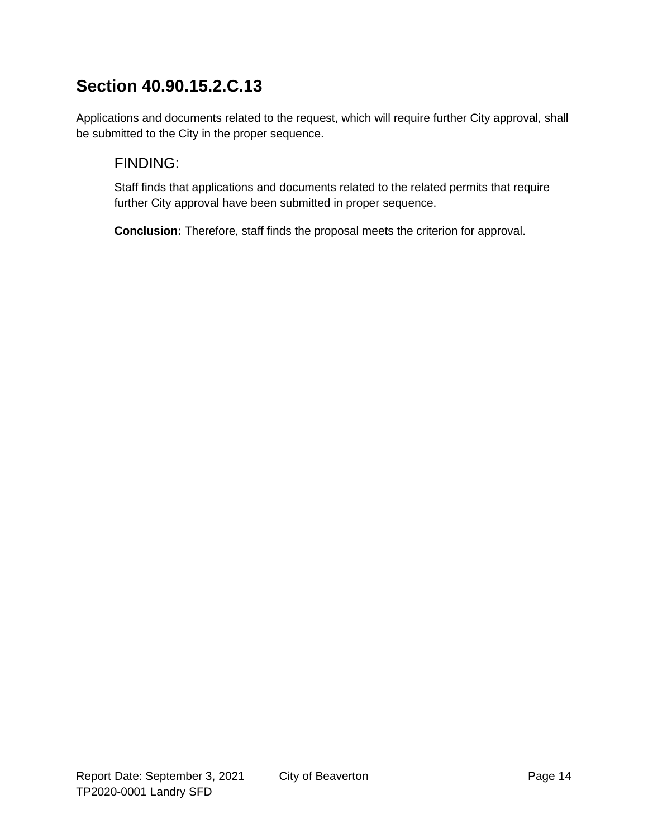Applications and documents related to the request, which will require further City approval, shall be submitted to the City in the proper sequence.

### FINDING:

Staff finds that applications and documents related to the related permits that require further City approval have been submitted in proper sequence.

**Conclusion:** Therefore, staff finds the proposal meets the criterion for approval.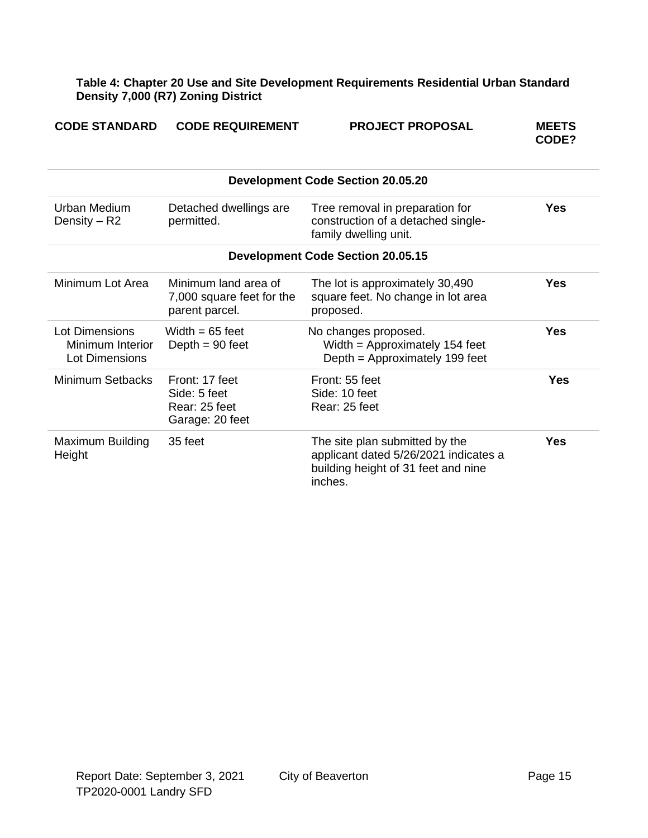**Table 4: Chapter 20 Use and Site Development Requirements Residential Urban Standard Density 7,000 (R7) Zoning District**

| <b>CODE STANDARD</b>                                        | <b>CODE REQUIREMENT</b>                                             | <b>PROJECT PROPOSAL</b>                                                                                                   | <b>MEETS</b><br>CODE? |  |  |
|-------------------------------------------------------------|---------------------------------------------------------------------|---------------------------------------------------------------------------------------------------------------------------|-----------------------|--|--|
|                                                             |                                                                     | <b>Development Code Section 20.05.20</b>                                                                                  |                       |  |  |
| <b>Urban Medium</b><br>Density $-$ R2                       | Detached dwellings are<br>permitted.                                | Tree removal in preparation for<br>construction of a detached single-<br>family dwelling unit.                            | <b>Yes</b>            |  |  |
|                                                             | <b>Development Code Section 20.05.15</b>                            |                                                                                                                           |                       |  |  |
| Minimum Lot Area                                            | Minimum land area of<br>7,000 square feet for the<br>parent parcel. | The lot is approximately 30,490<br>square feet. No change in lot area<br>proposed.                                        | Yes                   |  |  |
| Lot Dimensions<br>Minimum Interior<br><b>Lot Dimensions</b> | Width $= 65$ feet<br>Depth $= 90$ feet                              | No changes proposed.<br>Width = Approximately 154 feet<br>Depth = Approximately 199 feet                                  | <b>Yes</b>            |  |  |
| <b>Minimum Setbacks</b>                                     | Front: 17 feet<br>Side: 5 feet<br>Rear: 25 feet<br>Garage: 20 feet  | Front: 55 feet<br>Side: 10 feet<br>Rear: 25 feet                                                                          | <b>Yes</b>            |  |  |
| Maximum Building<br>Height                                  | 35 feet                                                             | The site plan submitted by the<br>applicant dated 5/26/2021 indicates a<br>building height of 31 feet and nine<br>inches. | <b>Yes</b>            |  |  |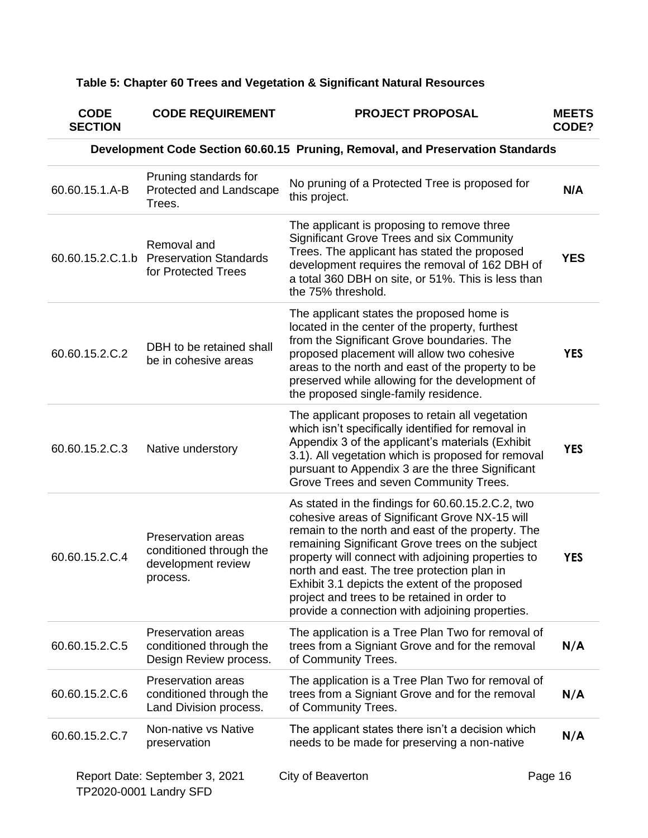### **Table 5: Chapter 60 Trees and Vegetation & Significant Natural Resources**

| <b>CODE</b><br><b>SECTION</b> | <b>CODE REQUIREMENT</b>                                                                | <b>PROJECT PROPOSAL</b>                                                                                                                                                                                                                                                                                                                                                                                                                                                | <b>MEETS</b><br>CODE? |
|-------------------------------|----------------------------------------------------------------------------------------|------------------------------------------------------------------------------------------------------------------------------------------------------------------------------------------------------------------------------------------------------------------------------------------------------------------------------------------------------------------------------------------------------------------------------------------------------------------------|-----------------------|
|                               |                                                                                        | Development Code Section 60.60.15 Pruning, Removal, and Preservation Standards                                                                                                                                                                                                                                                                                                                                                                                         |                       |
| 60.60.15.1.A-B                | Pruning standards for<br>Protected and Landscape<br>Trees.                             | No pruning of a Protected Tree is proposed for<br>this project.                                                                                                                                                                                                                                                                                                                                                                                                        | N/A                   |
|                               | Removal and<br>60.60.15.2.C.1.b Preservation Standards<br>for Protected Trees          | The applicant is proposing to remove three<br>Significant Grove Trees and six Community<br>Trees. The applicant has stated the proposed<br>development requires the removal of 162 DBH of<br>a total 360 DBH on site, or 51%. This is less than<br>the 75% threshold.                                                                                                                                                                                                  | <b>YES</b>            |
| 60.60.15.2.C.2                | DBH to be retained shall<br>be in cohesive areas                                       | The applicant states the proposed home is<br>located in the center of the property, furthest<br>from the Significant Grove boundaries. The<br>proposed placement will allow two cohesive<br>areas to the north and east of the property to be<br>preserved while allowing for the development of<br>the proposed single-family residence.                                                                                                                              | <b>YES</b>            |
| 60.60.15.2.C.3                | Native understory                                                                      | The applicant proposes to retain all vegetation<br>which isn't specifically identified for removal in<br>Appendix 3 of the applicant's materials (Exhibit<br>3.1). All vegetation which is proposed for removal<br>pursuant to Appendix 3 are the three Significant<br>Grove Trees and seven Community Trees.                                                                                                                                                          | <b>YES</b>            |
| 60.60.15.2.C.4                | <b>Preservation areas</b><br>conditioned through the<br>development review<br>process. | As stated in the findings for 60.60.15.2.C.2, two<br>cohesive areas of Significant Grove NX-15 will<br>remain to the north and east of the property. The<br>remaining Significant Grove trees on the subject<br>property will connect with adjoining properties to<br>north and east. The tree protection plan in<br>Exhibit 3.1 depicts the extent of the proposed<br>project and trees to be retained in order to<br>provide a connection with adjoining properties. | <b>YES</b>            |
| 60.60.15.2.C.5                | Preservation areas<br>conditioned through the<br>Design Review process.                | The application is a Tree Plan Two for removal of<br>trees from a Signiant Grove and for the removal<br>of Community Trees.                                                                                                                                                                                                                                                                                                                                            | N/A                   |
| 60.60.15.2.C.6                | <b>Preservation areas</b><br>conditioned through the<br>Land Division process.         | The application is a Tree Plan Two for removal of<br>trees from a Signiant Grove and for the removal<br>of Community Trees.                                                                                                                                                                                                                                                                                                                                            | N/A                   |
| 60.60.15.2.C.7                | Non-native vs Native<br>preservation                                                   | The applicant states there isn't a decision which<br>needs to be made for preserving a non-native                                                                                                                                                                                                                                                                                                                                                                      | N/A                   |
|                               | Report Date: September 3, 2021<br>TP2020-0001 Landry SFD                               | City of Beaverton                                                                                                                                                                                                                                                                                                                                                                                                                                                      | Page 16               |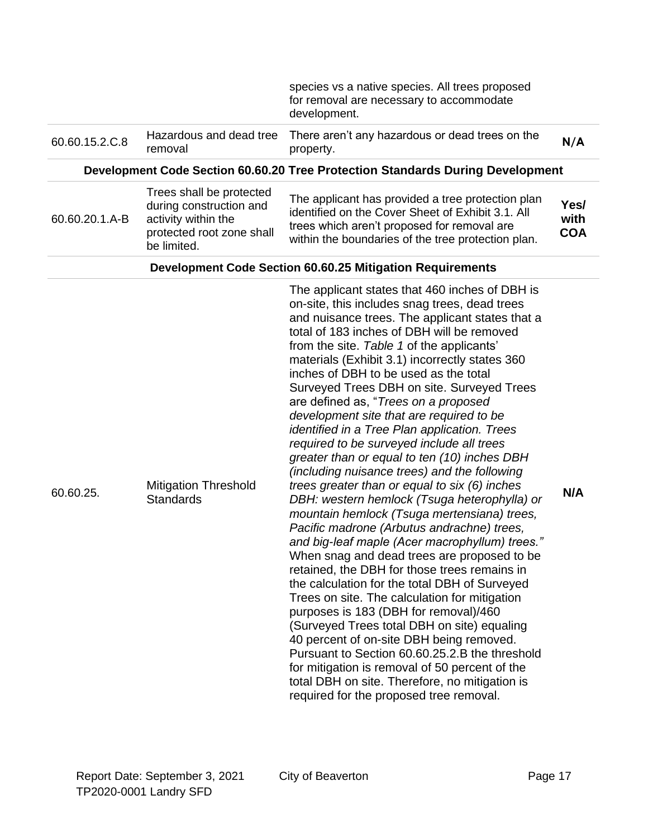|                |                                                                                                                        | species vs a native species. All trees proposed<br>for removal are necessary to accommodate<br>development.                                                                                                                                                                                                                                                                                                                                                                                                                                                                                                                                                                                                                                                                                                                                                                                                                                                                                                                                                                                                                                                                                                                                                                                                                                                                                                                                                   |                            |
|----------------|------------------------------------------------------------------------------------------------------------------------|---------------------------------------------------------------------------------------------------------------------------------------------------------------------------------------------------------------------------------------------------------------------------------------------------------------------------------------------------------------------------------------------------------------------------------------------------------------------------------------------------------------------------------------------------------------------------------------------------------------------------------------------------------------------------------------------------------------------------------------------------------------------------------------------------------------------------------------------------------------------------------------------------------------------------------------------------------------------------------------------------------------------------------------------------------------------------------------------------------------------------------------------------------------------------------------------------------------------------------------------------------------------------------------------------------------------------------------------------------------------------------------------------------------------------------------------------------------|----------------------------|
| 60.60.15.2.C.8 | Hazardous and dead tree<br>removal                                                                                     | There aren't any hazardous or dead trees on the<br>property.                                                                                                                                                                                                                                                                                                                                                                                                                                                                                                                                                                                                                                                                                                                                                                                                                                                                                                                                                                                                                                                                                                                                                                                                                                                                                                                                                                                                  | N/A                        |
|                |                                                                                                                        | Development Code Section 60.60.20 Tree Protection Standards During Development                                                                                                                                                                                                                                                                                                                                                                                                                                                                                                                                                                                                                                                                                                                                                                                                                                                                                                                                                                                                                                                                                                                                                                                                                                                                                                                                                                                |                            |
| 60.60.20.1.A-B | Trees shall be protected<br>during construction and<br>activity within the<br>protected root zone shall<br>be limited. | The applicant has provided a tree protection plan<br>identified on the Cover Sheet of Exhibit 3.1. All<br>trees which aren't proposed for removal are<br>within the boundaries of the tree protection plan.                                                                                                                                                                                                                                                                                                                                                                                                                                                                                                                                                                                                                                                                                                                                                                                                                                                                                                                                                                                                                                                                                                                                                                                                                                                   | Yes/<br>with<br><b>COA</b> |
|                |                                                                                                                        | <b>Development Code Section 60.60.25 Mitigation Requirements</b>                                                                                                                                                                                                                                                                                                                                                                                                                                                                                                                                                                                                                                                                                                                                                                                                                                                                                                                                                                                                                                                                                                                                                                                                                                                                                                                                                                                              |                            |
| 60.60.25.      | <b>Mitigation Threshold</b><br><b>Standards</b>                                                                        | The applicant states that 460 inches of DBH is<br>on-site, this includes snag trees, dead trees<br>and nuisance trees. The applicant states that a<br>total of 183 inches of DBH will be removed<br>from the site. Table 1 of the applicants'<br>materials (Exhibit 3.1) incorrectly states 360<br>inches of DBH to be used as the total<br>Surveyed Trees DBH on site. Surveyed Trees<br>are defined as, "Trees on a proposed<br>development site that are required to be<br>identified in a Tree Plan application. Trees<br>required to be surveyed include all trees<br>greater than or equal to ten (10) inches DBH<br>(including nuisance trees) and the following<br>trees greater than or equal to six (6) inches<br>DBH: western hemlock (Tsuga heterophylla) or<br>mountain hemlock (Tsuga mertensiana) trees,<br>Pacific madrone (Arbutus andrachne) trees,<br>and big-leaf maple (Acer macrophyllum) trees."<br>When snag and dead trees are proposed to be<br>retained, the DBH for those trees remains in<br>the calculation for the total DBH of Surveyed<br>Trees on site. The calculation for mitigation<br>purposes is 183 (DBH for removal)/460<br>(Surveyed Trees total DBH on site) equaling<br>40 percent of on-site DBH being removed.<br>Pursuant to Section 60.60.25.2.B the threshold<br>for mitigation is removal of 50 percent of the<br>total DBH on site. Therefore, no mitigation is<br>required for the proposed tree removal. | N/A                        |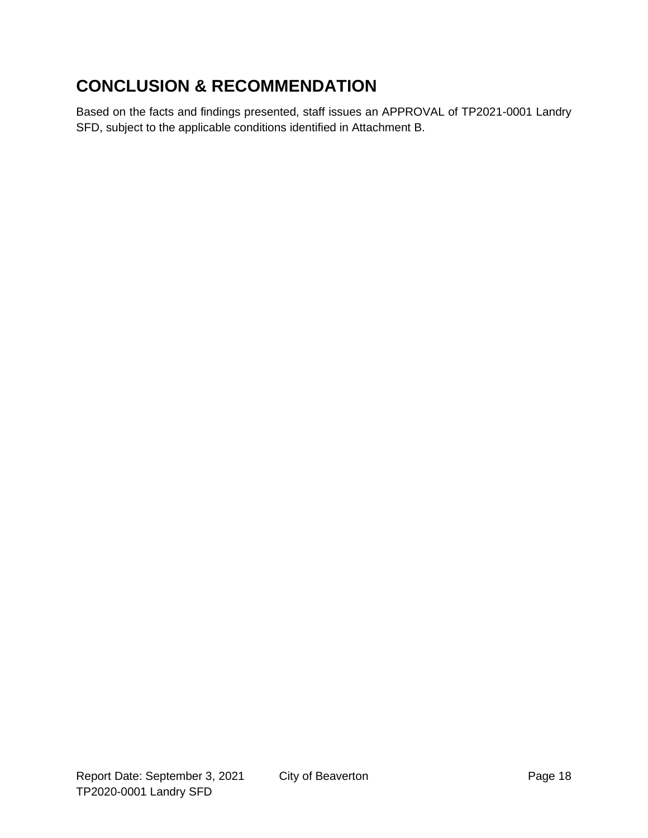## **CONCLUSION & RECOMMENDATION**

Based on the facts and findings presented, staff issues an APPROVAL of TP2021-0001 Landry SFD, subject to the applicable conditions identified in Attachment B.